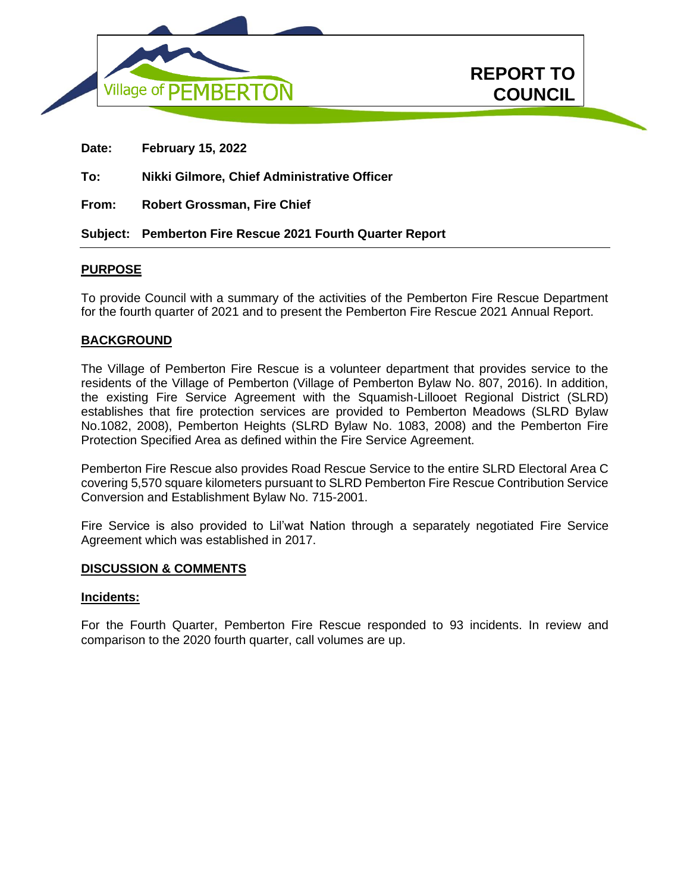



**REPORT TO**

**COUNCIL In Camera** 

| Date: | <b>February 15, 2022</b> |  |  |
|-------|--------------------------|--|--|
|-------|--------------------------|--|--|

## **To: Nikki Gilmore, Chief Administrative Officer**

**From: Robert Grossman, Fire Chief**

## **Subject: Pemberton Fire Rescue 2021 Fourth Quarter Report**

## **PURPOSE**

To provide Council with a summary of the activities of the Pemberton Fire Rescue Department for the fourth quarter of 2021 and to present the Pemberton Fire Rescue 2021 Annual Report.

## **BACKGROUND**

The Village of Pemberton Fire Rescue is a volunteer department that provides service to the residents of the Village of Pemberton (Village of Pemberton Bylaw No. 807, 2016). In addition, the existing Fire Service Agreement with the Squamish-Lillooet Regional District (SLRD) establishes that fire protection services are provided to Pemberton Meadows (SLRD Bylaw No.1082, 2008), Pemberton Heights (SLRD Bylaw No. 1083, 2008) and the Pemberton Fire Protection Specified Area as defined within the Fire Service Agreement.

Pemberton Fire Rescue also provides Road Rescue Service to the entire SLRD Electoral Area C covering 5,570 square kilometers pursuant to SLRD Pemberton Fire Rescue Contribution Service Conversion and Establishment Bylaw No. 715-2001.

Fire Service is also provided to Lil'wat Nation through a separately negotiated Fire Service Agreement which was established in 2017.

#### **DISCUSSION & COMMENTS**

#### **Incidents:**

For the Fourth Quarter, Pemberton Fire Rescue responded to 93 incidents. In review and comparison to the 2020 fourth quarter, call volumes are up.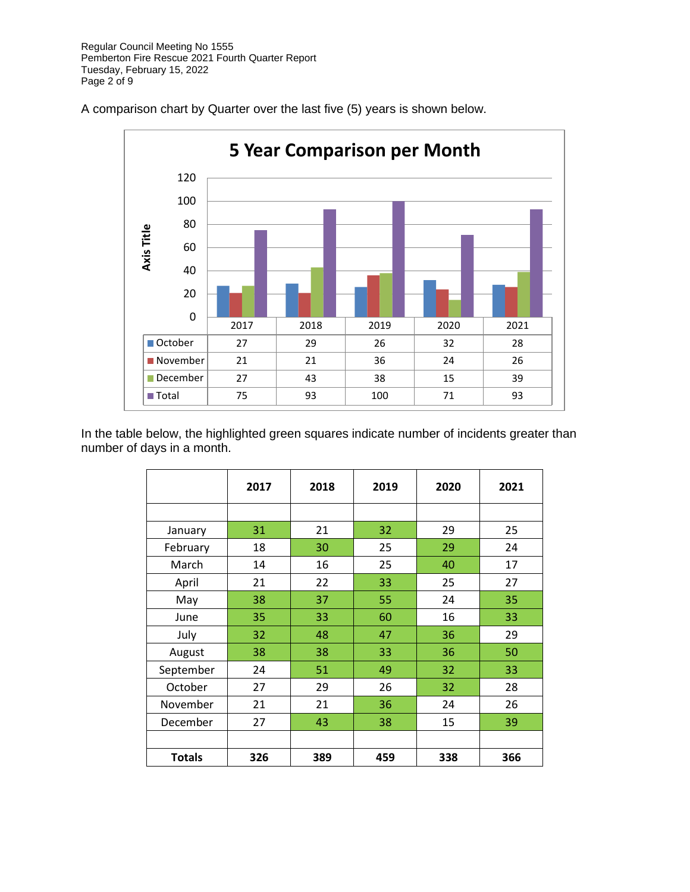A comparison chart by Quarter over the last five (5) years is shown below.



In the table below, the highlighted green squares indicate number of incidents greater than number of days in a month.

|               | 2017 | 2018<br>2019 |     | 2020 | 2021 |  |
|---------------|------|--------------|-----|------|------|--|
|               |      |              |     |      |      |  |
| January       | 31   | 21           | 32  | 29   | 25   |  |
| February      | 18   | 30           | 25  | 29   | 24   |  |
| March         | 14   | 16           | 25  | 40   | 17   |  |
| April         | 21   | 22           | 33  | 25   | 27   |  |
| May           | 38   | 37           | 55  | 24   | 35   |  |
| June          | 35   | 33           | 60  | 16   | 33   |  |
| July          | 32   | 48           | 47  | 36   | 29   |  |
| August        | 38   | 38           | 33  | 36   | 50   |  |
| September     | 24   | 51           | 49  | 32   | 33   |  |
| October       | 27   | 29           | 26  | 32   | 28   |  |
| November      | 21   | 21           | 36  | 24   | 26   |  |
| December      | 27   | 43           | 38  | 15   | 39   |  |
|               |      |              |     |      |      |  |
| <b>Totals</b> | 326  | 389          | 459 | 338  | 366  |  |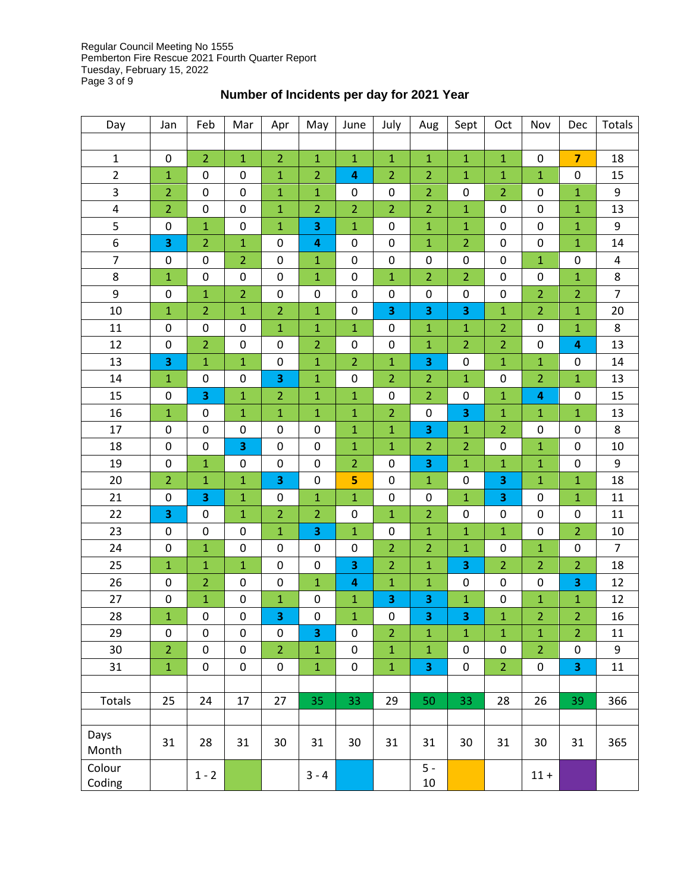| Day              | Jan            | Feb              | Mar            | Apr                     | May            | June                    | July             | Aug                     | Sept             | Oct            | Nov                     | Dec            | Totals         |
|------------------|----------------|------------------|----------------|-------------------------|----------------|-------------------------|------------------|-------------------------|------------------|----------------|-------------------------|----------------|----------------|
|                  |                |                  |                |                         |                |                         |                  |                         |                  |                |                         |                |                |
| $\mathbf{1}$     | $\pmb{0}$      | $\overline{2}$   | $\mathbf 1$    | $\overline{2}$          | $\mathbf 1$    | $\mathbf 1$             | $\mathbf 1$      | $\mathbf 1$             | $\mathbf 1$      | $\mathbf 1$    | $\pmb{0}$               | $\overline{7}$ | 18             |
| $\overline{2}$   | $\mathbf 1$    | $\pmb{0}$        | 0              | $\mathbf{1}$            | $\overline{2}$ | $\overline{\mathbf{4}}$ | $\overline{2}$   | $\overline{2}$          | $\mathbf 1$      | $\mathbf{1}$   | $\mathbf{1}$            | 0              | 15             |
| 3                | $\overline{2}$ | $\pmb{0}$        | $\pmb{0}$      | $\mathbf 1$             | $\mathbf 1$    | 0                       | $\pmb{0}$        | $\overline{2}$          | $\pmb{0}$        | $\overline{2}$ | $\pmb{0}$               | $\mathbf{1}$   | 9              |
| 4                | $\overline{2}$ | $\pmb{0}$        | 0              | $\mathbf{1}$            | $\overline{2}$ | $\overline{2}$          | $\overline{2}$   | $\overline{2}$          | $\mathbf{1}$     | 0              | $\pmb{0}$               | $\mathbf{1}$   | 13             |
| 5                | $\pmb{0}$      | $\mathbf{1}$     | 0              | $\mathbf 1$             | 3              | $\mathbf 1$             | $\boldsymbol{0}$ | $\mathbf 1$             | $\mathbf{1}$     | 0              | $\boldsymbol{0}$        | $\mathbf{1}$   | 9              |
| 6                | 3              | $\overline{2}$   | $\mathbf{1}$   | 0                       | 4              | 0                       | 0                | $\mathbf{1}$            | $\overline{2}$   | 0              | $\mathbf 0$             | 1              | 14             |
| $\overline{7}$   | 0              | $\pmb{0}$        | $\overline{2}$ | 0                       | $\mathbf{1}$   | 0                       | $\boldsymbol{0}$ | 0                       | $\pmb{0}$        | 0              | $\mathbf{1}$            | 0              | 4              |
| 8                | $\mathbf{1}$   | 0                | 0              | 0                       | $\mathbf{1}$   | 0                       | $\mathbf{1}$     | $\overline{2}$          | $\overline{2}$   | 0              | 0                       | $\mathbf{1}$   | 8              |
| 9                | 0              | $\mathbf{1}$     | $\overline{2}$ | 0                       | 0              | $\mathbf 0$             | 0                | $\pmb{0}$               | 0                | 0              | $\overline{\mathbf{c}}$ | $\overline{c}$ | 7              |
| 10               | $\mathbf 1$    | $\overline{2}$   | $\mathbf{1}$   | $\overline{2}$          | $\mathbf{1}$   | 0                       | 3                | $\overline{\mathbf{3}}$ | 3                | $\mathbf{1}$   | $\overline{2}$          | 1              | 20             |
| 11               | $\pmb{0}$      | $\boldsymbol{0}$ | $\pmb{0}$      | $\mathbf 1$             | $\mathbf{1}$   | $\mathbf{1}$            | 0                | $\mathbf{1}$            | $\mathbf{1}$     | 2              | $\mathbf 0$             | $\mathbf{1}$   | 8              |
| 12               | 0              | $\overline{2}$   | 0              | 0                       | $\overline{2}$ | 0                       | 0                | $\mathbf{1}$            | $\overline{2}$   | $\overline{2}$ | $\mathbf 0$             | 4              | 13             |
| 13               | 3              | $\mathbf{1}$     | $\mathbf 1$    | $\pmb{0}$               | $\mathbf{1}$   | $\overline{2}$          | $\mathbf 1$      | $\overline{\mathbf{3}}$ | $\boldsymbol{0}$ | $\mathbf{1}$   | $\mathbf{1}$            | 0              | 14             |
| 14               | $\mathbf 1$    | $\pmb{0}$        | 0              | 3                       | $\mathbf{1}$   | 0                       | $\overline{2}$   | $\overline{2}$          | $\mathbf{1}$     | 0              | $\overline{2}$          | $\mathbf{1}$   | 13             |
| 15               | $\pmb{0}$      | 3                | $\mathbf 1$    | 2                       | $\mathbf{1}$   | $\mathbf{1}$            | $\pmb{0}$        | $\overline{2}$          | 0                | $\mathbf{1}$   | 4                       | 0              | 15             |
| 16               | $\mathbf 1$    | 0                | $\mathbf{1}$   | $\mathbf{1}$            | $\mathbf{1}$   | $\mathbf{1}$            | $\overline{2}$   | $\pmb{0}$               | 3                | $\mathbf{1}$   | $\mathbf{1}$            | $\mathbf{1}$   | 13             |
| 17               | $\mathbf 0$    | $\pmb{0}$        | 0              | $\pmb{0}$               | 0              | $\mathbf{1}$            | $\mathbf{1}$     | $\overline{\mathbf{3}}$ | $\mathbf{1}$     | $\overline{2}$ | $\mathbf 0$             | 0              | 8              |
| 18               | $\pmb{0}$      | $\pmb{0}$        | 3              | $\pmb{0}$               | 0              | $\mathbf{1}$            | $\mathbf{1}$     | $\overline{2}$          | $\overline{2}$   | 0              | $\mathbf{1}$            | $\pmb{0}$      | 10             |
| 19               | $\pmb{0}$      | $\mathbf{1}$     | 0              | 0                       | 0              | $\overline{2}$          | 0                | $\overline{\mathbf{3}}$ | $\mathbf 1$      | $\mathbf{1}$   | $\mathbf{1}$            | 0              | 9              |
| 20               | $\overline{2}$ | $\mathbf 1$      | $\mathbf{1}$   | $\overline{\mathbf{3}}$ | $\pmb{0}$      | 5                       | $\boldsymbol{0}$ | $\mathbf{1}$            | $\boldsymbol{0}$ | 3              | $\mathbf{1}$            | $\mathbf{1}$   | 18             |
| 21               | $\mathbf 0$    | 3                | $\mathbf{1}$   | 0                       | $\mathbf{1}$   | $\mathbf 1$             | 0                | $\pmb{0}$               | $\mathbf{1}$     | 3              | 0                       | 1              | 11             |
| 22               | 3              | $\pmb{0}$        | $\mathbf{1}$   | $\overline{2}$          | $\overline{2}$ | $\pmb{0}$               | $\mathbf{1}$     | $\overline{2}$          | $\boldsymbol{0}$ | 0              | $\mathbf 0$             | $\pmb{0}$      | $11\,$         |
| 23               | 0              | 0                | 0              | $\mathbf{1}$            | 3              | $\mathbf{1}$            | 0                | $\mathbf{1}$            | $\mathbf{1}$     | $\mathbf{1}$   | $\mathbf 0$             | 2              | $10\,$         |
| 24               | $\pmb{0}$      | $\mathbf{1}$     | 0              | $\pmb{0}$               | 0              | $\boldsymbol{0}$        | $\overline{2}$   | $\overline{2}$          | $\mathbf{1}$     | 0              | $\mathbf{1}$            | $\pmb{0}$      | $\overline{7}$ |
| 25               | $\mathbf 1$    | $\mathbf{1}$     | $\mathbf{1}$   | 0                       | 0              | 3                       | 2                | $\mathbf{1}$            | 3                | $\overline{2}$ | $\overline{2}$          | $\overline{2}$ | 18             |
| 26               | $\pmb{0}$      | $\overline{2}$   | $\pmb{0}$      | $\pmb{0}$               | $\mathbf 1$    | $\overline{\mathbf{a}}$ | $\mathbf{1}$     | $\mathbf{1}$            | $\boldsymbol{0}$ | 0              | $\boldsymbol{0}$        | 3              | 12             |
| 27               | $\pmb{0}$      | $\mathbf{1}$     | 0              | $\mathbf{1}$            | 0              | 1                       | 3                | 3                       | $\mathbf{1}$     | 0              | $\mathbf{1}$            | $\mathbf{1}$   | 12             |
| 28               | $\mathbf 1$    | 0                | $\pmb{0}$      | 3                       | 0              | $\overline{1}$          | 0                | 3                       | 3                | $\mathbf{1}$   | $\overline{2}$          | $\overline{2}$ | 16             |
| 29               | $\pmb{0}$      | $\pmb{0}$        | $\pmb{0}$      | 0                       | 3              | 0                       | $\overline{2}$   | $\mathbf{1}$            | $\mathbf{1}$     | $\mathbf 1$    | $\mathbf 1$             | $\overline{2}$ | 11             |
| 30               | $\overline{2}$ | $\pmb{0}$        | $\pmb{0}$      | $\overline{2}$          | $\mathbf 1$    | $\mathbf 0$             | $\mathbf 1$      | $\mathbf 1$             | $\pmb{0}$        | 0              | $\overline{2}$          | $\pmb{0}$      | 9              |
| 31               | $\mathbf 1$    | 0                | $\pmb{0}$      | 0                       | $\mathbf{1}$   | 0                       | $\mathbf 1$      | 3                       | 0                | $\overline{2}$ | $\pmb{0}$               | 3              | 11             |
|                  |                |                  |                |                         |                |                         |                  |                         |                  |                |                         |                |                |
| Totals           | 25             | 24               | 17             | 27                      | 35             | 33                      | 29               | 50                      | 33               | 28             | 26                      | 39             | 366            |
| Days<br>Month    | 31             | 28               | 31             | 30                      | 31             | 30                      | 31               | 31                      | 30               | 31             | 30                      | 31             | 365            |
| Colour<br>Coding |                | $1 - 2$          |                |                         | $3 - 4$        |                         |                  | $5 -$<br>$10\,$         |                  |                | $11 +$                  |                |                |

# **Number of Incidents per day for 2021 Year**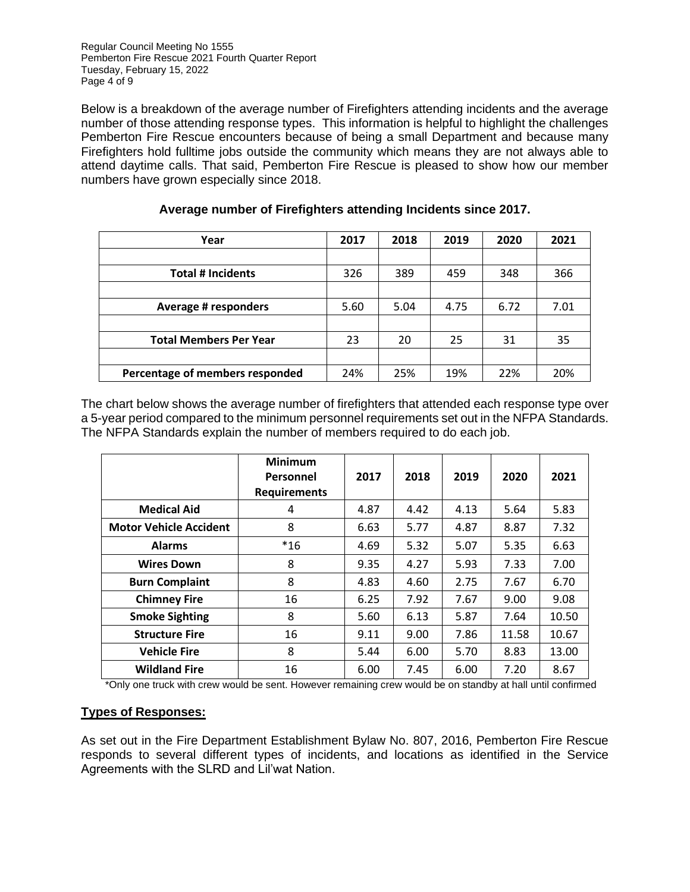Below is a breakdown of the average number of Firefighters attending incidents and the average number of those attending response types. This information is helpful to highlight the challenges Pemberton Fire Rescue encounters because of being a small Department and because many Firefighters hold fulltime jobs outside the community which means they are not always able to attend daytime calls. That said, Pemberton Fire Rescue is pleased to show how our member numbers have grown especially since 2018.

| Year                            | 2017 | 2018 | 2019 | 2020 | 2021 |
|---------------------------------|------|------|------|------|------|
|                                 |      |      |      |      |      |
| <b>Total # Incidents</b>        | 326  | 389  | 459  | 348  | 366  |
|                                 |      |      |      |      |      |
| Average # responders            | 5.60 | 5.04 | 4.75 | 6.72 | 7.01 |
|                                 |      |      |      |      |      |
| <b>Total Members Per Year</b>   | 23   | 20   | 25   | 31   | 35   |
|                                 |      |      |      |      |      |
| Percentage of members responded | 24%  | 25%  | 19%  | 22%  | 20%  |

## **Average number of Firefighters attending Incidents since 2017.**

The chart below shows the average number of firefighters that attended each response type over a 5-year period compared to the minimum personnel requirements set out in the NFPA Standards. The NFPA Standards explain the number of members required to do each job.

|                               | <b>Minimum</b><br>Personnel<br><b>Requirements</b> | 2017 | 2018 | 2019 | 2020  | 2021  |
|-------------------------------|----------------------------------------------------|------|------|------|-------|-------|
| <b>Medical Aid</b>            | 4                                                  | 4.87 | 4.42 | 4.13 | 5.64  | 5.83  |
| <b>Motor Vehicle Accident</b> | 8                                                  | 6.63 | 5.77 | 4.87 | 8.87  | 7.32  |
| <b>Alarms</b>                 | $*16$                                              | 4.69 | 5.32 | 5.07 | 5.35  | 6.63  |
| <b>Wires Down</b>             | 8                                                  | 9.35 | 4.27 | 5.93 | 7.33  | 7.00  |
| <b>Burn Complaint</b>         | 8                                                  | 4.83 | 4.60 | 2.75 | 7.67  | 6.70  |
| <b>Chimney Fire</b>           | 16                                                 | 6.25 | 7.92 | 7.67 | 9.00  | 9.08  |
| <b>Smoke Sighting</b>         | 8                                                  | 5.60 | 6.13 | 5.87 | 7.64  | 10.50 |
| <b>Structure Fire</b>         | 16                                                 | 9.11 | 9.00 | 7.86 | 11.58 | 10.67 |
| <b>Vehicle Fire</b>           | 8                                                  | 5.44 | 6.00 | 5.70 | 8.83  | 13.00 |
| <b>Wildland Fire</b>          | 16                                                 | 6.00 | 7.45 | 6.00 | 7.20  | 8.67  |

\*Only one truck with crew would be sent. However remaining crew would be on standby at hall until confirmed

## **Types of Responses:**

As set out in the Fire Department Establishment Bylaw No. 807, 2016, Pemberton Fire Rescue responds to several different types of incidents, and locations as identified in the Service Agreements with the SLRD and Lil'wat Nation.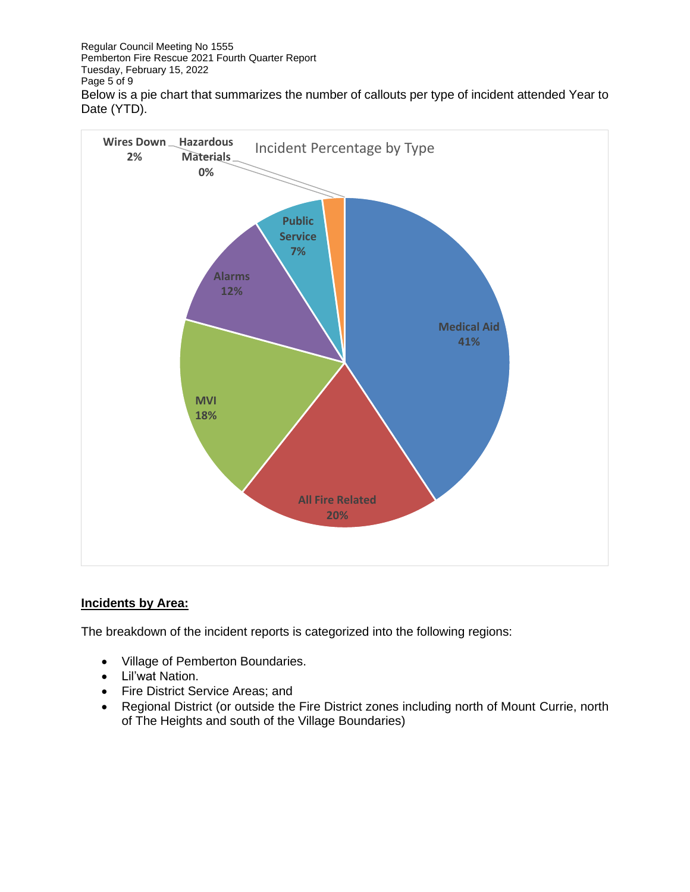

# **Incidents by Area:**

The breakdown of the incident reports is categorized into the following regions:

- Village of Pemberton Boundaries.
- Lil'wat Nation.
- Fire District Service Areas; and
- Regional District (or outside the Fire District zones including north of Mount Currie, north of The Heights and south of the Village Boundaries)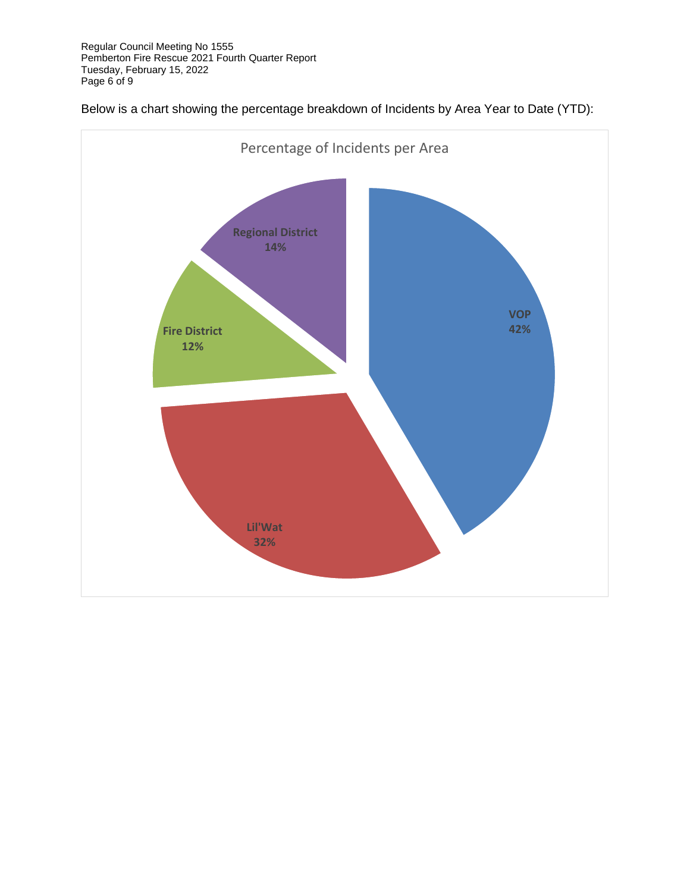

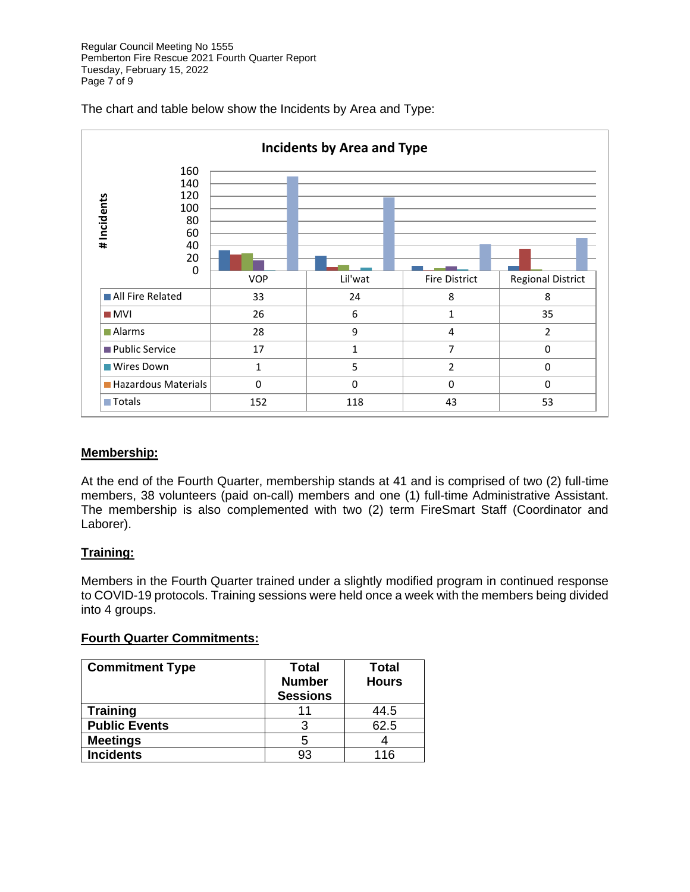

The chart and table below show the Incidents by Area and Type:

## **Membership:**

At the end of the Fourth Quarter, membership stands at 41 and is comprised of two (2) full-time members, 38 volunteers (paid on-call) members and one (1) full-time Administrative Assistant. The membership is also complemented with two (2) term FireSmart Staff (Coordinator and Laborer).

## **Training:**

Members in the Fourth Quarter trained under a slightly modified program in continued response to COVID-19 protocols. Training sessions were held once a week with the members being divided into 4 groups.

#### **Fourth Quarter Commitments:**

| <b>Commitment Type</b> | <b>Total</b><br><b>Number</b><br><b>Sessions</b> | <b>Total</b><br><b>Hours</b> |
|------------------------|--------------------------------------------------|------------------------------|
| <b>Training</b>        | 11                                               | 44.5                         |
| <b>Public Events</b>   | З                                                | 62.5                         |
| <b>Meetings</b>        | 5                                                |                              |
| <b>Incidents</b>       | 93                                               | 116                          |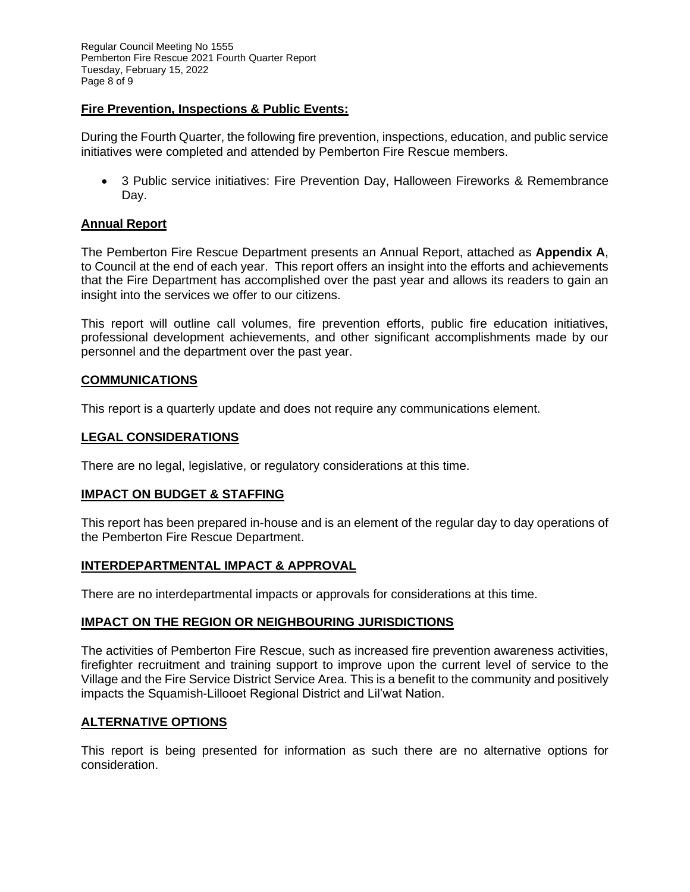Regular Council Meeting No 1555 Pemberton Fire Rescue 2021 Fourth Quarter Report Tuesday, February 15, 2022 Page 8 of 9

## **Fire Prevention, Inspections & Public Events:**

During the Fourth Quarter, the following fire prevention, inspections, education, and public service initiatives were completed and attended by Pemberton Fire Rescue members.

• 3 Public service initiatives: Fire Prevention Day, Halloween Fireworks & Remembrance Day.

#### **Annual Report**

The Pemberton Fire Rescue Department presents an Annual Report, attached as **Appendix A**, to Council at the end of each year. This report offers an insight into the efforts and achievements that the Fire Department has accomplished over the past year and allows its readers to gain an insight into the services we offer to our citizens.

This report will outline call volumes, fire prevention efforts, public fire education initiatives, professional development achievements, and other significant accomplishments made by our personnel and the department over the past year.

#### **COMMUNICATIONS**

This report is a quarterly update and does not require any communications element.

#### **LEGAL CONSIDERATIONS**

There are no legal, legislative, or regulatory considerations at this time.

#### **IMPACT ON BUDGET & STAFFING**

This report has been prepared in-house and is an element of the regular day to day operations of the Pemberton Fire Rescue Department.

#### **INTERDEPARTMENTAL IMPACT & APPROVAL**

There are no interdepartmental impacts or approvals for considerations at this time.

## **IMPACT ON THE REGION OR NEIGHBOURING JURISDICTIONS**

The activities of Pemberton Fire Rescue, such as increased fire prevention awareness activities, firefighter recruitment and training support to improve upon the current level of service to the Village and the Fire Service District Service Area. This is a benefit to the community and positively impacts the Squamish-Lillooet Regional District and Lil'wat Nation.

#### **ALTERNATIVE OPTIONS**

This report is being presented for information as such there are no alternative options for consideration.